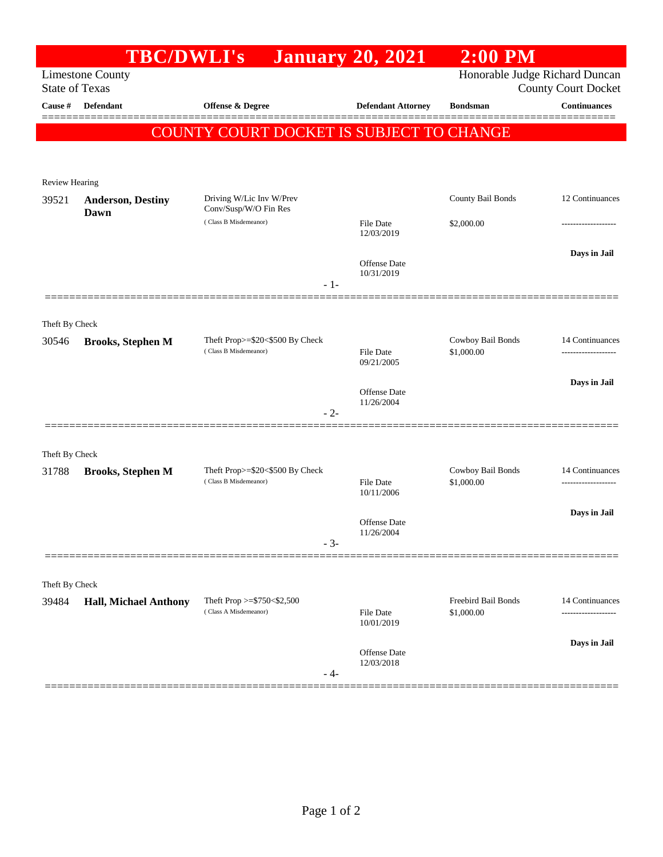|                                          | <b>TBC/DWLI's</b>            |                                                          | <b>January 20, 2021</b>           | $2:00$ PM                       |                                       |  |  |  |  |  |
|------------------------------------------|------------------------------|----------------------------------------------------------|-----------------------------------|---------------------------------|---------------------------------------|--|--|--|--|--|
|                                          | <b>Limestone County</b>      |                                                          | Honorable Judge Richard Duncan    |                                 |                                       |  |  |  |  |  |
| <b>State of Texas</b>                    |                              |                                                          |                                   | <b>County Court Docket</b>      |                                       |  |  |  |  |  |
| Cause #                                  | Defendant                    | Offense & Degree                                         | <b>Defendant Attorney</b>         | <b>Bondsman</b>                 | <b>Continuances</b>                   |  |  |  |  |  |
| COUNTY COURT DOCKET IS SUBJECT TO CHANGE |                              |                                                          |                                   |                                 |                                       |  |  |  |  |  |
|                                          |                              |                                                          |                                   |                                 |                                       |  |  |  |  |  |
| Review Hearing                           |                              |                                                          |                                   |                                 |                                       |  |  |  |  |  |
| 39521                                    | <b>Anderson, Destiny</b>     | Driving W/Lic Inv W/Prev                                 |                                   | County Bail Bonds               | 12 Continuances                       |  |  |  |  |  |
|                                          | Dawn                         | Conv/Susp/W/O Fin Res<br>(Class B Misdemeanor)           | File Date                         | \$2,000.00                      |                                       |  |  |  |  |  |
|                                          |                              |                                                          | 12/03/2019                        |                                 |                                       |  |  |  |  |  |
|                                          |                              |                                                          | Offense Date                      |                                 | Days in Jail                          |  |  |  |  |  |
|                                          |                              | $-1-$                                                    | 10/31/2019                        |                                 |                                       |  |  |  |  |  |
|                                          |                              |                                                          |                                   |                                 |                                       |  |  |  |  |  |
| Theft By Check                           |                              |                                                          |                                   |                                 |                                       |  |  |  |  |  |
| 30546                                    | <b>Brooks, Stephen M</b>     | Theft Prop>=\$20<\$500 By Check                          |                                   | Cowboy Bail Bonds               | 14 Continuances                       |  |  |  |  |  |
|                                          |                              | (Class B Misdemeanor)                                    | File Date<br>09/21/2005           | \$1,000.00                      | -------------------                   |  |  |  |  |  |
|                                          |                              |                                                          |                                   |                                 | Days in Jail                          |  |  |  |  |  |
|                                          |                              |                                                          | <b>Offense</b> Date<br>11/26/2004 |                                 |                                       |  |  |  |  |  |
|                                          |                              | $-2-$                                                    |                                   |                                 |                                       |  |  |  |  |  |
|                                          |                              |                                                          |                                   |                                 |                                       |  |  |  |  |  |
| Theft By Check                           |                              |                                                          |                                   |                                 |                                       |  |  |  |  |  |
| 31788                                    | <b>Brooks, Stephen M</b>     | Theft Prop>=\$20<\$500 By Check<br>(Class B Misdemeanor) | <b>File Date</b>                  | Cowboy Bail Bonds<br>\$1,000.00 | 14 Continuances<br>------------------ |  |  |  |  |  |
|                                          |                              |                                                          | 10/11/2006                        |                                 |                                       |  |  |  |  |  |
|                                          |                              |                                                          | Offense Date                      |                                 | Days in Jail                          |  |  |  |  |  |
|                                          |                              | $-3-$                                                    | 11/26/2004                        |                                 |                                       |  |  |  |  |  |
|                                          |                              |                                                          |                                   |                                 |                                       |  |  |  |  |  |
| Theft By Check                           |                              |                                                          |                                   |                                 |                                       |  |  |  |  |  |
| 39484                                    | <b>Hall, Michael Anthony</b> | Theft Prop >=\$750<\$2,500                               |                                   | Freebird Bail Bonds             | 14 Continuances                       |  |  |  |  |  |
|                                          |                              | (Class A Misdemeanor)                                    | <b>File Date</b><br>10/01/2019    | \$1,000.00                      | -------------------                   |  |  |  |  |  |
|                                          |                              |                                                          |                                   |                                 | Days in Jail                          |  |  |  |  |  |
|                                          |                              |                                                          | Offense Date<br>12/03/2018        |                                 |                                       |  |  |  |  |  |
|                                          |                              | - 4-                                                     |                                   |                                 |                                       |  |  |  |  |  |